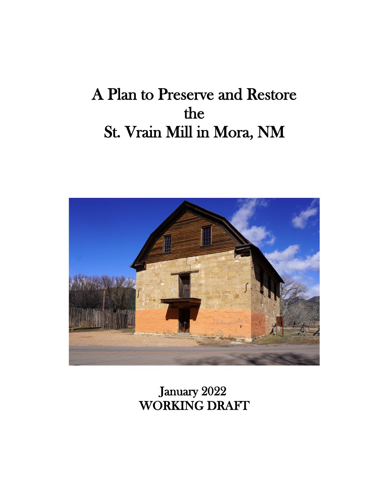# A Plan to Preserve and Restore the St. Vrain Mill in Mora, NM



 January 2022 WORKING DRAFT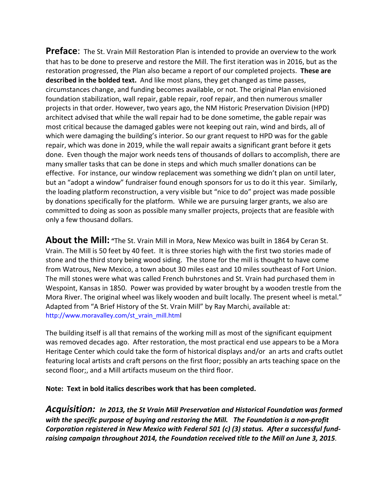**Preface**: The St. Vrain Mill Restoration Plan is intended to provide an overview to the work that has to be done to preserve and restore the Mill. The first iteration was in 2016, but as the restoration progressed, the Plan also became a report of our completed projects. **These are described in the bolded text.** And like most plans, they get changed as time passes, circumstances change, and funding becomes available, or not. The original Plan envisioned foundation stabilization, wall repair, gable repair, roof repair, and then numerous smaller projects in that order. However, two years ago, the NM Historic Preservation Division (HPD) architect advised that while the wall repair had to be done sometime, the gable repair was most critical because the damaged gables were not keeping out rain, wind and birds, all of which were damaging the building's interior. So our grant request to HPD was for the gable repair, which was done in 2019, while the wall repair awaits a significant grant before it gets done. Even though the major work needs tens of thousands of dollars to accomplish, there are many smaller tasks that can be done in steps and which much smaller donations can be effective. For instance, our window replacement was something we didn't plan on until later, but an "adopt a window" fundraiser found enough sponsors for us to do it this year. Similarly, the loading platform reconstruction, a very visible but "nice to do" project was made possible by donations specifically for the platform. While we are pursuing larger grants, we also are committed to doing as soon as possible many smaller projects, projects that are feasible with only a few thousand dollars.

**About the Mill: "**The St. Vrain Mill in Mora, New Mexico was built in 1864 by Ceran St. Vrain. The Mill is 50 feet by 40 feet. It is three stories high with the first two stories made of stone and the third story being wood siding. The stone for the mill is thought to have come from Watrous, New Mexico, a town about 30 miles east and 10 miles southeast of Fort Union. The mill stones were what was called French buhrstones and St. Vrain had purchased them in Wespoint, Kansas in 1850. Power was provided by water brought by a wooden trestle from the Mora River. The original wheel was likely wooden and built locally. The present wheel is metal." Adapted from "A Brief History of the St. Vrain Mill" by Ray Marchi, available at: [http://www.moravalley.com/st\\_vrain\\_mill.html](http://www.moravalley.com/st_vrain_mill.htm)

The building itself is all that remains of the working mill as most of the significant equipment was removed decades ago. After restoration, the most practical end use appears to be a Mora Heritage Center which could take the form of historical displays and/or an arts and crafts outlet featuring local artists and craft persons on the first floor; possibly an arts teaching space on the second floor;, and a Mill artifacts museum on the third floor.

**Note: Text in bold italics describes work that has been completed.**

*Acquisition: In 2013, the St Vrain Mill Preservation and Historical Foundation was formed with the specific purpose of buying and restoring the Mill. The Foundation is a non-profit Corporation registered in New Mexico with Federal 501 (c) (3) status. After a successful fundraising campaign throughout 2014, the Foundation received title to the Mill on June 3, 2015.*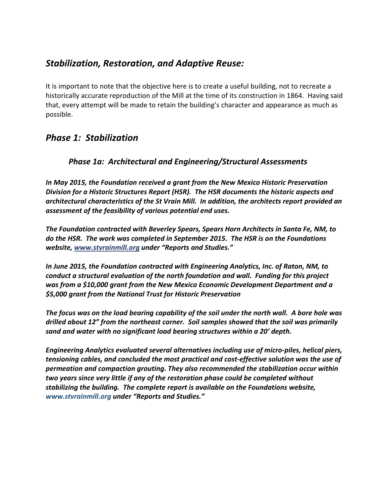## *Stabilization, Restoration, and Adaptive Reuse:*

It is important to note that the objective here is to create a useful building, not to recreate a historically accurate reproduction of the Mill at the time of its construction in 1864. Having said that, every attempt will be made to retain the building's character and appearance as much as possible.

## *Phase 1: Stabilization*

#### *Phase 1a: Architectural and Engineering/Structural Assessments*

*In May 2015, the Foundation received a grant from the New Mexico Historic Preservation Division for a Historic Structures Report (HSR). The HSR documents the historic aspects and architectural characteristics of the St Vrain Mill. In addition, the architects report provided an assessment of the feasibility of various potential end uses.* 

*The Foundation contracted with Beverley Spears, Spears Horn Architects in Santa Fe, NM, to do the HSR. The work was completed in September 2015. The HSR is on the Foundations website[, www.stvrainmill.org](http://www.stvrainmill.org/) under "Reports and Studies."*

*In June 2015, the Foundation contracted with Engineering Analytics, Inc. of Raton, NM, to conduct a structural evaluation of the north foundation and wall. Funding for this project was from a \$10,000 grant from the New Mexico Economic Development Department and a \$5,000 grant from the National Trust for Historic Preservation*

*The focus was on the load bearing capability of the soil under the north wall. A bore hole was drilled about 12" from the northeast corner. Soil samples showed that the soil was primarily sand and water with no significant load bearing structures within a 20' depth.* 

*Engineering Analytics evaluated several alternatives including use of micro-piles, helical piers, tensioning cables, and concluded the most practical and cost-effective solution was the use of permeation and compaction grouting. They also recommended the stabilization occur within two years since very little if any of the restoration phase could be completed without stabilizing the building. The complete report is available on the Foundations website, www.stvrainmill.org under "Reports and Studies."*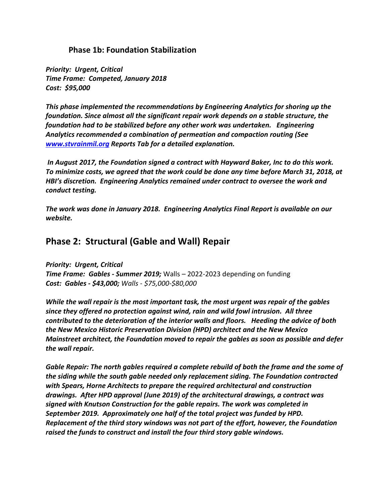#### **Phase 1b: Foundation Stabilization**

*Priority: Urgent, Critical Time Frame: Competed, January 2018 Cost: \$95,000*

*This phase implemented the recommendations by Engineering Analytics for shoring up the foundation. Since almost all the significant repair work depends on a stable structure, the foundation had to be stabilized before any other work was undertaken. Engineering Analytics recommended a combination of permeation and compaction routing (See [www.stvrainmil.org](http://www.stvrainmil.org/) Reports Tab for a detailed explanation.* 

*In August 2017, the Foundation signed a contract with Hayward Baker, Inc to do this work. To minimize costs, we agreed that the work could be done any time before March 31, 2018, at HBI's discretion. Engineering Analytics remained under contract to oversee the work and conduct testing.*

*The work was done in January 2018. Engineering Analytics Final Report is available on our website.*

## **Phase 2: Structural (Gable and Wall) Repair**

*Priority: Urgent, Critical Time Frame: Gables - Summer 2019;* Walls – 2022-2023 depending on funding *Cost: Gables - \$43,000; Walls - \$75,000-\$80,000*

*While the wall repair is the most important task, the most urgent was repair of the gables since they offered no protection against wind, rain and wild fowl intrusion. All three contributed to the deterioration of the interior walls and floors. Heeding the advice of both the New Mexico Historic Preservation Division (HPD) architect and the New Mexico Mainstreet architect, the Foundation moved to repair the gables as soon as possible and defer the wall repair.*

*Gable Repair: The north gables required a complete rebuild of both the frame and the some of the siding while the south gable needed only replacement siding. The Foundation contracted with Spears, Horne Architects to prepare the required architectural and construction drawings. After HPD approval (June 2019) of the architectural drawings, a contract was signed with Knutson Construction for the gable repairs. The work was completed in September 2019. Approximately one half of the total project was funded by HPD. Replacement of the third story windows was not part of the effort, however, the Foundation raised the funds to construct and install the four third story gable windows.*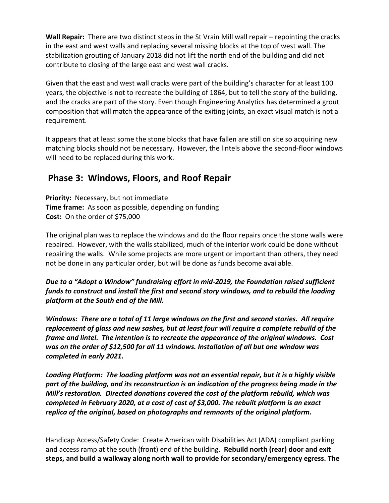**Wall Repair:** There are two distinct steps in the St Vrain Mill wall repair – repointing the cracks in the east and west walls and replacing several missing blocks at the top of west wall. The stabilization grouting of January 2018 did not lift the north end of the building and did not contribute to closing of the large east and west wall cracks.

Given that the east and west wall cracks were part of the building's character for at least 100 years, the objective is not to recreate the building of 1864, but to tell the story of the building, and the cracks are part of the story. Even though Engineering Analytics has determined a grout composition that will match the appearance of the exiting joints, an exact visual match is not a requirement.

It appears that at least some the stone blocks that have fallen are still on site so acquiring new matching blocks should not be necessary. However, the lintels above the second-floor windows will need to be replaced during this work.

## **Phase 3: Windows, Floors, and Roof Repair**

**Priority:** Necessary, but not immediate **Time frame:** As soon as possible, depending on funding **Cost:** On the order of \$75,000

The original plan was to replace the windows and do the floor repairs once the stone walls were repaired. However, with the walls stabilized, much of the interior work could be done without repairing the walls. While some projects are more urgent or important than others, they need not be done in any particular order, but will be done as funds become available.

*Due to a "Adopt a Window" fundraising effort in mid-2019, the Foundation raised sufficient funds to construct and install the first and second story windows, and to rebuild the loading platform at the South end of the Mill.*

*Windows: There are a total of 11 large windows on the first and second stories. All require replacement of glass and new sashes, but at least four will require a complete rebuild of the frame and lintel. The intention is to recreate the appearance of the original windows. Cost was on the order of \$12,500 for all 11 windows. Installation of all but one window was completed in early 2021.*

*Loading Platform: The loading platform was not an essential repair, but it is a highly visible part of the building, and its reconstruction is an indication of the progress being made in the Mill's restoration. Directed donations covered the cost of the platform rebuild, which was completed in February 2020, at a cost of cost of \$3,000. The rebuilt platform is an exact replica of the original, based on photographs and remnants of the original platform.*

Handicap Access/Safety Code: Create American with Disabilities Act (ADA) compliant parking and access ramp at the south (front) end of the building. **Rebuild north (rear) door and exit steps, and build a walkway along north wall to provide for secondary/emergency egress. The**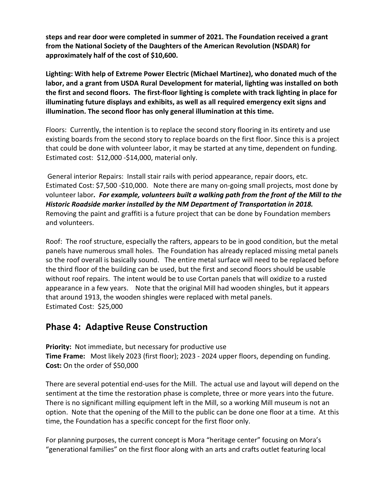**steps and rear door were completed in summer of 2021. The Foundation received a grant from the National Society of the Daughters of the American Revolution (NSDAR) for approximately half of the cost of \$10,600.** 

**Lighting: With help of Extreme Power Electric (Michael Martinez), who donated much of the labor, and a grant from USDA Rural Development for material, lighting was installed on both the first and second floors. The first-floor lighting is complete with track lighting in place for illuminating future displays and exhibits, as well as all required emergency exit signs and illumination. The second floor has only general illumination at this time.**

Floors: Currently, the intention is to replace the second story flooring in its entirety and use existing boards from the second story to replace boards on the first floor. Since this is a project that could be done with volunteer labor, it may be started at any time, dependent on funding. Estimated cost: \$12,000 -\$14,000, material only.

General interior Repairs: Install stair rails with period appearance, repair doors, etc. Estimated Cost: \$7,500 -\$10,000. Note there are many on-going small projects, most done by volunteer labor*. For example, volunteers built a walking path from the front of the Mill to the Historic Roadside marker installed by the NM Department of Transportation in 2018.* Removing the paint and graffiti is a future project that can be done by Foundation members and volunteers.

Roof: The roof structure, especially the rafters, appears to be in good condition, but the metal panels have numerous small holes. The Foundation has already replaced missing metal panels so the roof overall is basically sound. The entire metal surface will need to be replaced before the third floor of the building can be used, but the first and second floors should be usable without roof repairs. The intent would be to use Cortan panels that will oxidize to a rusted appearance in a few years. Note that the original Mill had wooden shingles, but it appears that around 1913, the wooden shingles were replaced with metal panels. Estimated Cost: \$25,000

## **Phase 4: Adaptive Reuse Construction**

**Priority:** Not immediate, but necessary for productive use **Time Frame:** Most likely 2023 (first floor); 2023 - 2024 upper floors, depending on funding. **Cost:** On the order of \$50,000

There are several potential end-uses for the Mill. The actual use and layout will depend on the sentiment at the time the restoration phase is complete, three or more years into the future. There is no significant milling equipment left in the Mill, so a working Mill museum is not an option. Note that the opening of the Mill to the public can be done one floor at a time. At this time, the Foundation has a specific concept for the first floor only.

For planning purposes, the current concept is Mora "heritage center" focusing on Mora's "generational families" on the first floor along with an arts and crafts outlet featuring local